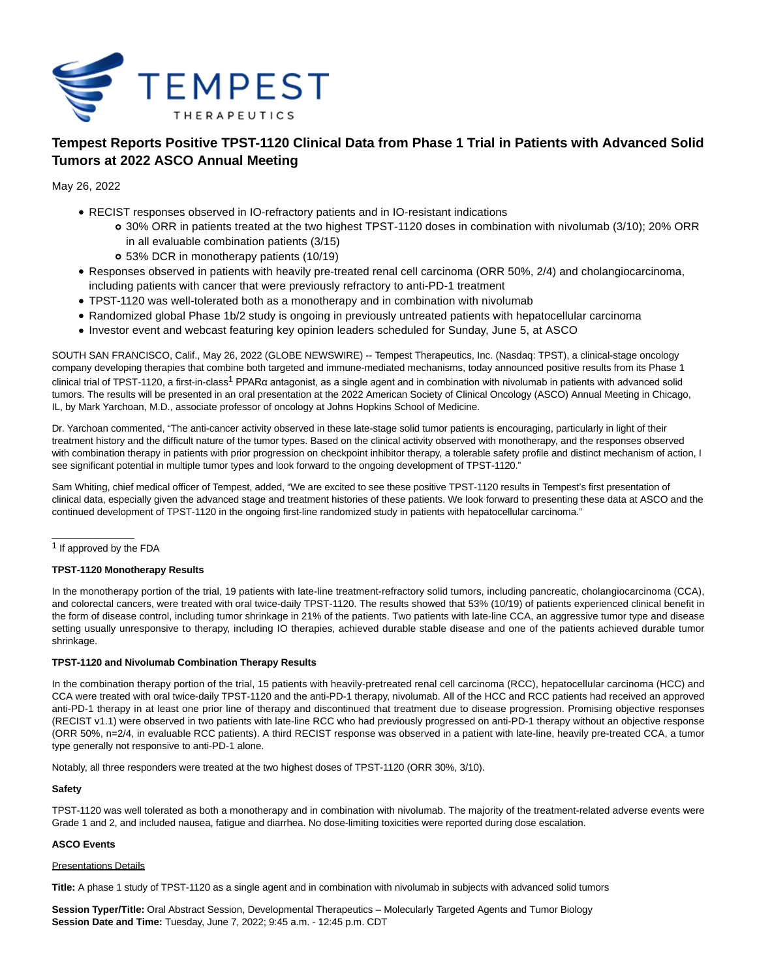

# **Tempest Reports Positive TPST-1120 Clinical Data from Phase 1 Trial in Patients with Advanced Solid Tumors at 2022 ASCO Annual Meeting**

May 26, 2022

- RECIST responses observed in IO-refractory patients and in IO-resistant indications
	- 30% ORR in patients treated at the two highest TPST-1120 doses in combination with nivolumab (3/10); 20% ORR in all evaluable combination patients (3/15)
	- 53% DCR in monotherapy patients (10/19)
- Responses observed in patients with heavily pre-treated renal cell carcinoma (ORR 50%, 2/4) and cholangiocarcinoma, including patients with cancer that were previously refractory to anti-PD-1 treatment
- TPST-1120 was well-tolerated both as a monotherapy and in combination with nivolumab
- Randomized global Phase 1b/2 study is ongoing in previously untreated patients with hepatocellular carcinoma
- Investor event and webcast featuring key opinion leaders scheduled for Sunday, June 5, at ASCO

SOUTH SAN FRANCISCO, Calif., May 26, 2022 (GLOBE NEWSWIRE) -- Tempest Therapeutics, Inc. (Nasdaq: TPST), a clinical-stage oncology company developing therapies that combine both targeted and immune-mediated mechanisms, today announced positive results from its Phase 1 clinical trial of TPST-1120, a first-in-class<sup>1</sup> PPARα antagonist, as a single agent and in combination with nivolumab in patients with advanced solid tumors. The results will be presented in an oral presentation at the 2022 American Society of Clinical Oncology (ASCO) Annual Meeting in Chicago, IL, by Mark Yarchoan, M.D., associate professor of oncology at Johns Hopkins School of Medicine.

Dr. Yarchoan commented, "The anti-cancer activity observed in these late-stage solid tumor patients is encouraging, particularly in light of their treatment history and the difficult nature of the tumor types. Based on the clinical activity observed with monotherapy, and the responses observed with combination therapy in patients with prior progression on checkpoint inhibitor therapy, a tolerable safety profile and distinct mechanism of action, I see significant potential in multiple tumor types and look forward to the ongoing development of TPST-1120."

Sam Whiting, chief medical officer of Tempest, added, "We are excited to see these positive TPST-1120 results in Tempest's first presentation of clinical data, especially given the advanced stage and treatment histories of these patients. We look forward to presenting these data at ASCO and the continued development of TPST-1120 in the ongoing first-line randomized study in patients with hepatocellular carcinoma."

1 If approved by the FDA

\_\_\_\_\_\_\_\_\_\_\_\_\_\_\_

# **TPST-1120 Monotherapy Results**

In the monotherapy portion of the trial, 19 patients with late-line treatment-refractory solid tumors, including pancreatic, cholangiocarcinoma (CCA), and colorectal cancers, were treated with oral twice-daily TPST-1120. The results showed that 53% (10/19) of patients experienced clinical benefit in the form of disease control, including tumor shrinkage in 21% of the patients. Two patients with late-line CCA, an aggressive tumor type and disease setting usually unresponsive to therapy, including IO therapies, achieved durable stable disease and one of the patients achieved durable tumor shrinkage.

## **TPST-1120 and Nivolumab Combination Therapy Results**

In the combination therapy portion of the trial, 15 patients with heavily-pretreated renal cell carcinoma (RCC), hepatocellular carcinoma (HCC) and CCA were treated with oral twice-daily TPST-1120 and the anti-PD-1 therapy, nivolumab. All of the HCC and RCC patients had received an approved anti-PD-1 therapy in at least one prior line of therapy and discontinued that treatment due to disease progression. Promising objective responses (RECIST v1.1) were observed in two patients with late-line RCC who had previously progressed on anti-PD-1 therapy without an objective response (ORR 50%, n=2/4, in evaluable RCC patients). A third RECIST response was observed in a patient with late-line, heavily pre-treated CCA, a tumor type generally not responsive to anti-PD-1 alone.

Notably, all three responders were treated at the two highest doses of TPST-1120 (ORR 30%, 3/10).

## **Safety**

TPST-1120 was well tolerated as both a monotherapy and in combination with nivolumab. The majority of the treatment-related adverse events were Grade 1 and 2, and included nausea, fatigue and diarrhea. No dose-limiting toxicities were reported during dose escalation.

# **ASCO Events**

## Presentations Details

**Title:** A phase 1 study of TPST-1120 as a single agent and in combination with nivolumab in subjects with advanced solid tumors

**Session Typer/Title:** Oral Abstract Session, Developmental Therapeutics – Molecularly Targeted Agents and Tumor Biology **Session Date and Time:** Tuesday, June 7, 2022; 9:45 a.m. - 12:45 p.m. CDT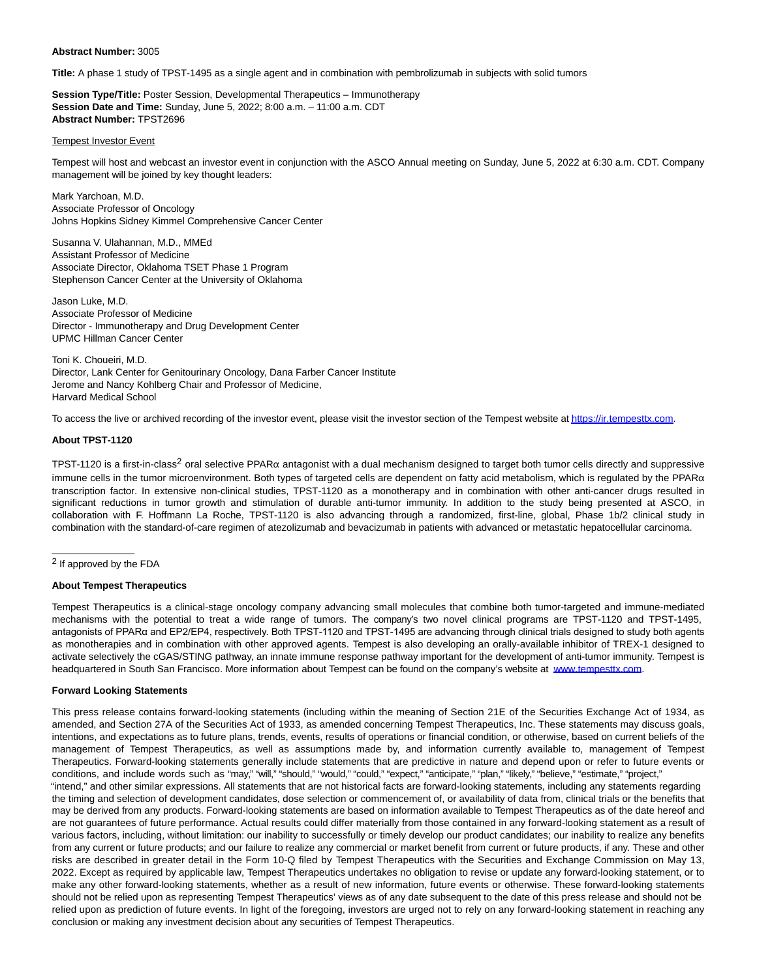#### **Abstract Number:** 3005

**Title:** A phase 1 study of TPST-1495 as a single agent and in combination with pembrolizumab in subjects with solid tumors

**Session Type/Title:** Poster Session, Developmental Therapeutics – Immunotherapy **Session Date and Time:** Sunday, June 5, 2022; 8:00 a.m. – 11:00 a.m. CDT **Abstract Number:** TPST2696

# Tempest Investor Event

Tempest will host and webcast an investor event in conjunction with the ASCO Annual meeting on Sunday, June 5, 2022 at 6:30 a.m. CDT. Company management will be joined by key thought leaders:

Mark Yarchoan, M.D. Associate Professor of Oncology Johns Hopkins Sidney Kimmel Comprehensive Cancer Center

Susanna V. Ulahannan, M.D., MMEd Assistant Professor of Medicine Associate Director, Oklahoma TSET Phase 1 Program Stephenson Cancer Center at the University of Oklahoma

Jason Luke, M.D. Associate Professor of Medicine Director - Immunotherapy and Drug Development Center UPMC Hillman Cancer Center

Toni K. Choueiri, M.D. Director, Lank Center for Genitourinary Oncology, Dana Farber Cancer Institute Jerome and Nancy Kohlberg Chair and Professor of Medicine, Harvard Medical School

To access the live or archived recording of the investor event, please visit the investor section of the Tempest website a[t https://ir.tempesttx.com.](https://www.globenewswire.com/Tracker?data=fSFiqBBzZz0ZEXfC4MszhyDNpT8smQHUxqj8fduG3qZ4_FnS3przzEuMJYbwbioG6pOPucYlIUCmY6wohHD8TjLSK0NK0iqePw-KrAmhKlI=)

#### **About TPST-1120**

TPST-1120 is a first-in-class<sup>2</sup> oral selective PPAR $\alpha$  antagonist with a dual mechanism designed to target both tumor cells directly and suppressive immune cells in the tumor microenvironment. Both types of targeted cells are dependent on fatty acid metabolism, which is regulated by the PPAR $\alpha$ transcription factor. In extensive non-clinical studies, TPST-1120 as a monotherapy and in combination with other anti-cancer drugs resulted in significant reductions in tumor growth and stimulation of durable anti-tumor immunity. In addition to the study being presented at ASCO, in collaboration with F. Hoffmann La Roche, TPST-1120 is also advancing through a randomized, first-line, global, Phase 1b/2 clinical study in combination with the standard-of-care regimen of atezolizumab and bevacizumab in patients with advanced or metastatic hepatocellular carcinoma.

\_\_\_\_\_\_\_\_\_\_\_\_\_\_\_

#### **About Tempest Therapeutics**

Tempest Therapeutics is a clinical-stage oncology company advancing small molecules that combine both tumor-targeted and immune-mediated mechanisms with the potential to treat a wide range of tumors. The company's two novel clinical programs are TPST-1120 and TPST-1495, antagonists of PPARα and EP2/EP4, respectively. Both TPST-1120 and TPST-1495 are advancing through clinical trials designed to study both agents as monotherapies and in combination with other approved agents. Tempest is also developing an orally-available inhibitor of TREX-1 designed to activate selectively the cGAS/STING pathway, an innate immune response pathway important for the development of anti-tumor immunity. Tempest is headquartered in South San Francisco. More information about Tempest can be found on the company's website at [www.tempesttx.com.](https://www.globenewswire.com/Tracker?data=-ZUEUFeGqfRJOJ-R2U0sqJwAFptoD-DwGaqAKPN_VvB8EsKUxD28i2n6_2D4gJyTQNamPGyM4UZK_OOVJ7Q6gw==)

#### **Forward Looking Statements**

This press release contains forward-looking statements (including within the meaning of Section 21E of the Securities Exchange Act of 1934, as amended, and Section 27A of the Securities Act of 1933, as amended concerning Tempest Therapeutics, Inc. These statements may discuss goals, intentions, and expectations as to future plans, trends, events, results of operations or financial condition, or otherwise, based on current beliefs of the management of Tempest Therapeutics, as well as assumptions made by, and information currently available to, management of Tempest Therapeutics. Forward-looking statements generally include statements that are predictive in nature and depend upon or refer to future events or conditions, and include words such as "may," "will," "should," "would," "could," "expect," "anticipate," "plan," "likely," "believe," "estimate," "project," "intend," and other similar expressions. All statements that are not historical facts are forward-looking statements, including any statements regarding the timing and selection of development candidates, dose selection or commencement of, or availability of data from, clinical trials or the benefits that may be derived from any products. Forward-looking statements are based on information available to Tempest Therapeutics as of the date hereof and are not guarantees of future performance. Actual results could differ materially from those contained in any forward-looking statement as a result of various factors, including, without limitation: our inability to successfully or timely develop our product candidates; our inability to realize any benefits from any current or future products; and our failure to realize any commercial or market benefit from current or future products, if any. These and other risks are described in greater detail in the Form 10-Q filed by Tempest Therapeutics with the Securities and Exchange Commission on May 13, 2022. Except as required by applicable law, Tempest Therapeutics undertakes no obligation to revise or update any forward-looking statement, or to make any other forward-looking statements, whether as a result of new information, future events or otherwise. These forward-looking statements should not be relied upon as representing Tempest Therapeutics' views as of any date subsequent to the date of this press release and should not be relied upon as prediction of future events. In light of the foregoing, investors are urged not to rely on any forward-looking statement in reaching any conclusion or making any investment decision about any securities of Tempest Therapeutics.

<sup>2</sup> If approved by the FDA